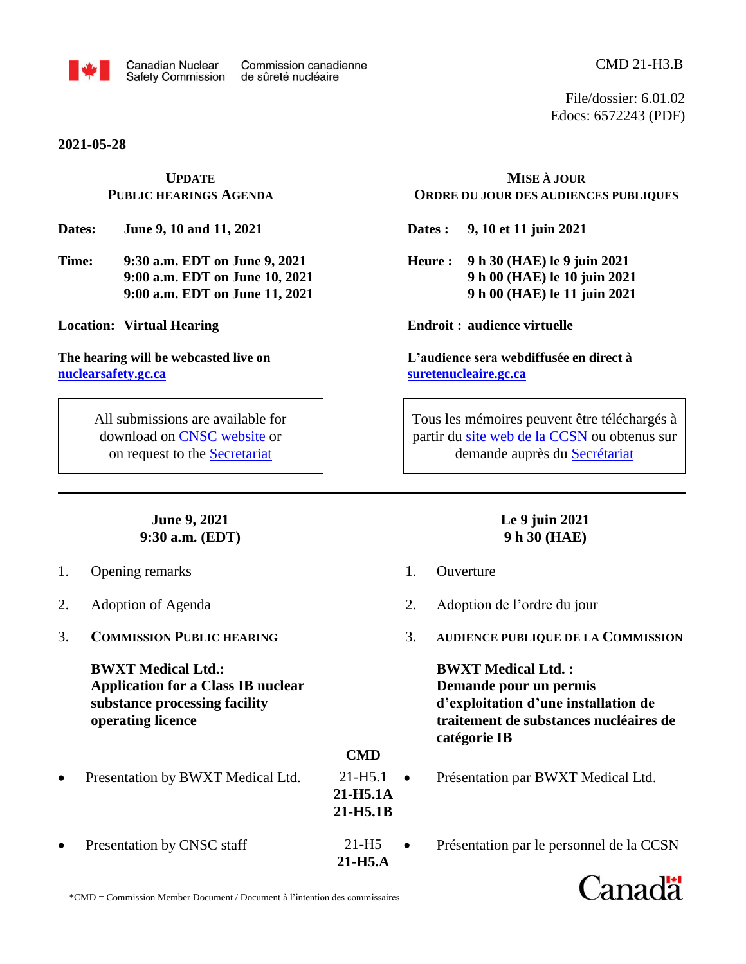

**2021-05-28**

## **UPDATE PUBLIC HEARINGS AGENDA**

**Dates: June 9, 10 and 11, 2021**

**Time: 9:30 a.m. EDT on June 9, 2021 9:00 a.m. EDT on June 10, 2021 9:00 a.m. EDT on June 11, 2021**

**Location: Virtual Hearing**

**The hearing will be webcasted live on [nuclearsafety.gc.ca](http://www.nuclearsafety.gc.ca/)**

> All submissions are available for download on [CNSC website](http://www.nuclearsafety.gc.ca/eng/the-commission/hearings/cmd/index.cfm) or on request to the [Secretariat](mailto:cnsc.interventions.ccsn@canada.ca)

> > **June 9, 2021 9:30 a.m. (EDT)**

- 1. Opening remarks
- 2. Adoption of Agenda
- 3. **COMMISSION PUBLIC HEARING**

**BWXT Medical Ltd.: Application for a Class IB nuclear substance processing facility operating licence**

- Presentation by BWXT Medical Ltd.
- Presentation by CNSC staff

**MISE À JOUR ORDRE DU JOUR DES AUDIENCES PUBLIQUES**

**Dates : 9, 10 et 11 juin 2021**

**Heure : 9 h 30 (HAE) le 9 juin 2021 9 h 00 (HAE) le 10 juin 2021 9 h 00 (HAE) le 11 juin 2021**

**Endroit : audience virtuelle**

**L'audience sera webdiffusée en direct à [suretenucleaire.gc.ca](http://www.suretenucleaire.gc.ca/)**

Tous les mémoires peuvent être téléchargés à partir du site web de [la CCSN](http://www.nuclearsafety.gc.ca/fra/the-commission/hearings/cmd/index.cfm) ou obtenus sur demande auprès du [Secrétariat](mailto:cnsc.interventions.ccsn@canada.ca)

## **Le 9 juin 2021 9 h 30 (HAE)**

1. Ouverture

**CMD**

**21-H5.1A 21-H5.1B**

21-H5 **21-H5.A**

- 2. Adoption de l'ordre du jour
- 3. **AUDIENCE PUBLIQUE DE LA COMMISSION**

**BWXT Medical Ltd. : Demande pour un permis d'exploitation d'une installation de traitement de substances nucléaires de catégorie IB**

- Présentation par BWXT Medical Ltd.  $21-H5.1$   $\bullet$ 
	- Présentation par le personnel de la CCSN



\*CMD = Commission Member Document / Document à l'intention des commissaires

File/dossier: 6.01.02 Edocs: 6572243 (PDF)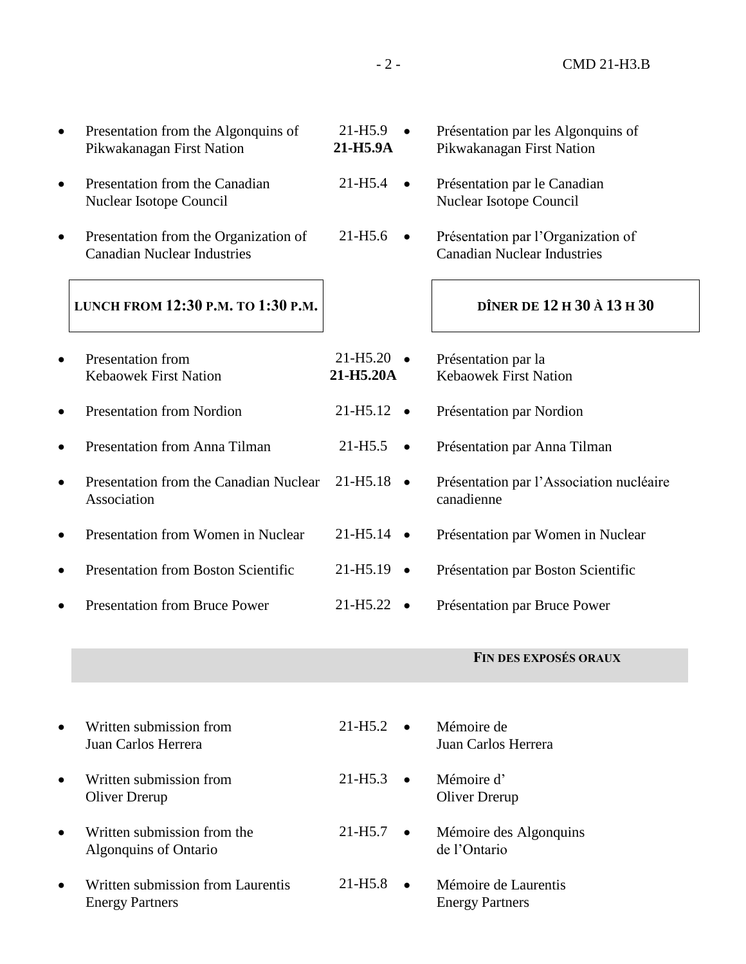| Presentation from the Algonquins of<br>Pikwakanagan First Nation            | $21 - H5.9$<br>21-H5.9A           | Présentation par les Algonquins of<br>Pikwakanagan First Nation          |
|-----------------------------------------------------------------------------|-----------------------------------|--------------------------------------------------------------------------|
| Presentation from the Canadian<br>Nuclear Isotope Council                   | $21 - H5.4$                       | Présentation par le Canadian<br>Nuclear Isotope Council                  |
| Presentation from the Organization of<br><b>Canadian Nuclear Industries</b> | $21 - H5.6$<br>$\bullet$          | Présentation par l'Organization of<br><b>Canadian Nuclear Industries</b> |
| LUNCH FROM 12:30 P.M. TO 1:30 P.M.                                          |                                   | DÎNER DE 12 H 30 À 13 H 30                                               |
| <b>Presentation from</b><br><b>Kebaowek First Nation</b>                    | $21 - H5.20$<br>21-H5.20A         | Présentation par la<br><b>Kebaowek First Nation</b>                      |
| <b>Presentation from Nordion</b>                                            | 21-H <sub>5.12</sub>              | Présentation par Nordion                                                 |
| Presentation from Anna Tilman                                               | $21 - H5.5$<br>$\bullet$          | Présentation par Anna Tilman                                             |
| Presentation from the Canadian Nuclear<br>Association                       | 21-H <sub>5.18</sub>              | Présentation par l'Association nucléaire<br>canadienne                   |
| Presentation from Women in Nuclear                                          | 21-H <sub>5.14</sub><br>$\bullet$ | Présentation par Women in Nuclear                                        |
| Presentation from Boston Scientific                                         | 21-H <sub>5.19</sub>              | Présentation par Boston Scientific                                       |
| <b>Presentation from Bruce Power</b>                                        | 21-H <sub>5.22</sub><br>$\bullet$ | Présentation par Bruce Power                                             |
|                                                                             |                                   | <b>FIN DES EXPOSÉS ORAUX</b>                                             |
|                                                                             |                                   |                                                                          |
| Written submission from<br>Juan Carlos Herrera                              | $21 - H5.2$<br>$\bullet$          | Mémoire de<br>Juan Carlos Herrera                                        |
| Written submission from<br>Oliver Drerup                                    | $21 - H5.3$<br>$\bullet$          | Mémoire d'<br>Oliver Drerup                                              |
| Written submission from the<br>Algonquins of Ontario                        | $21 - H5.7$                       | Mémoire des Algonquins<br>de l'Ontario                                   |
| Written submission from Laurentis<br><b>Energy Partners</b>                 | $21 - H5.8$                       | Mémoire de Laurentis<br><b>Energy Partners</b>                           |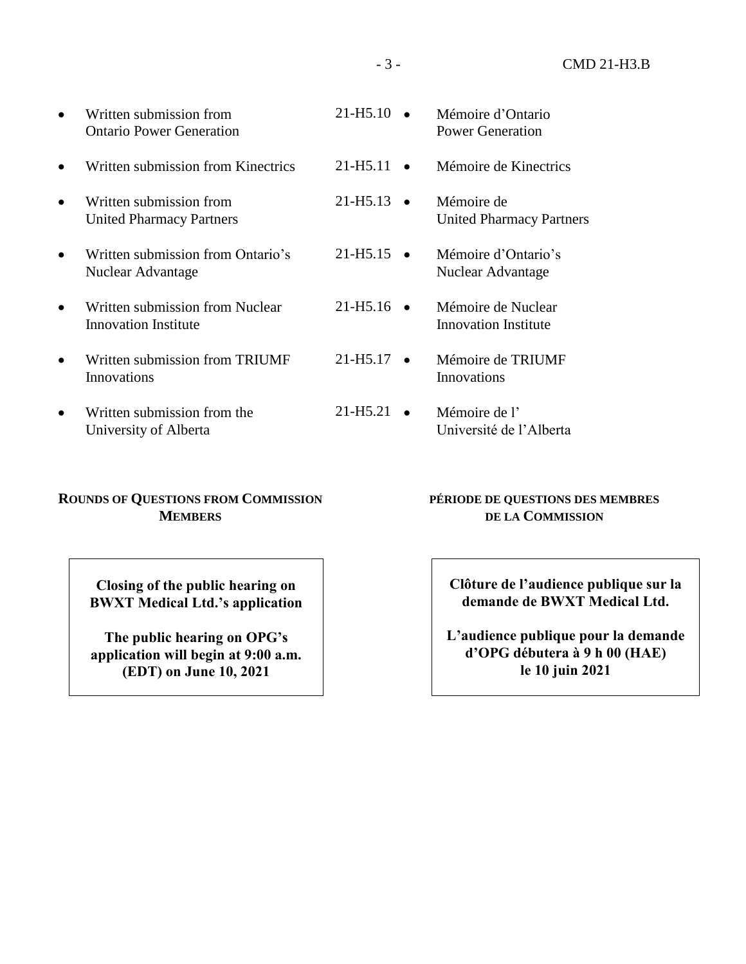|           | Written submission from<br><b>Ontario Power Generation</b>     | $21 - H5.10$                       | Mémoire d'Ontario<br>Power Generation             |
|-----------|----------------------------------------------------------------|------------------------------------|---------------------------------------------------|
|           | Written submission from Kinectrics                             | 21-H <sub>5</sub> .11<br>$\bullet$ | Mémoire de Kinectrics                             |
| $\bullet$ | Written submission from<br><b>United Pharmacy Partners</b>     | $21 - H5.13$ $\bullet$             | Mémoire de<br><b>United Pharmacy Partners</b>     |
|           | Written submission from Ontario's<br>Nuclear Advantage         | $21 - H5.15$ $\bullet$             | Mémoire d'Ontario's<br>Nuclear Advantage          |
|           | Written submission from Nuclear<br><b>Innovation Institute</b> | $21 - H5.16$ $\bullet$             | Mémoire de Nuclear<br><b>Innovation Institute</b> |
|           | Written submission from TRIUMF<br>Innovations                  | 21-H <sub>5</sub> .17<br>$\bullet$ | Mémoire de TRIUMF<br>Innovations                  |
| $\bullet$ | Written submission from the<br>University of Alberta           | 21-H <sub>5.21</sub><br>$\bullet$  | Mémoire de l'<br>Université de l'Alberta          |

## **ROUNDS OF QUESTIONS FROM COMMISSION MEMBERS**

**Closing of the public hearing on BWXT Medical Ltd.'s application**

**The public hearing on OPG's application will begin at 9:00 a.m. (EDT) on June 10, 2021**

## **PÉRIODE DE QUESTIONS DES MEMBRES DE LA COMMISSION**

**Clôture de l'audience publique sur la demande de BWXT Medical Ltd.**

**L'audience publique pour la demande d'OPG débutera à 9 h 00 (HAE) le 10 juin 2021**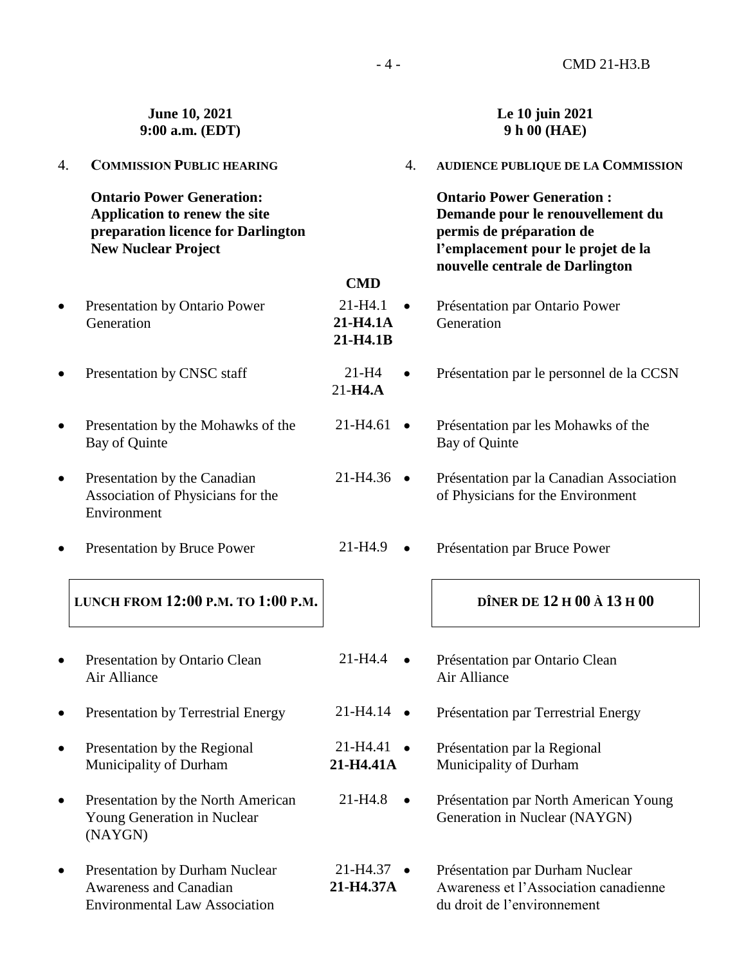|           | June 10, 2021<br>9:00 a.m. (EDT)                                                                                                      |                                     |           | Le 10 juin 2021<br>9 h 00 (HAE)                                                                                                                                            |
|-----------|---------------------------------------------------------------------------------------------------------------------------------------|-------------------------------------|-----------|----------------------------------------------------------------------------------------------------------------------------------------------------------------------------|
| 4.        | <b>COMMISSION PUBLIC HEARING</b>                                                                                                      |                                     | 4.        | <b>AUDIENCE PUBLIQUE DE LA COMMISSION</b>                                                                                                                                  |
|           | <b>Ontario Power Generation:</b><br>Application to renew the site<br>preparation licence for Darlington<br><b>New Nuclear Project</b> |                                     |           | <b>Ontario Power Generation:</b><br>Demande pour le renouvellement du<br>permis de préparation de<br>l'emplacement pour le projet de la<br>nouvelle centrale de Darlington |
|           |                                                                                                                                       | <b>CMD</b>                          |           |                                                                                                                                                                            |
| $\bullet$ | Presentation by Ontario Power<br>Generation                                                                                           | $21 - H4.1$<br>21-H4.1A<br>21-H4.1B |           | Présentation par Ontario Power<br>Generation                                                                                                                               |
| $\bullet$ | Presentation by CNSC staff                                                                                                            | $21-H4$<br>$21-H4.A$                | $\bullet$ | Présentation par le personnel de la CCSN                                                                                                                                   |
| $\bullet$ | Presentation by the Mohawks of the<br>Bay of Quinte                                                                                   | 21-H4.61                            | $\bullet$ | Présentation par les Mohawks of the<br>Bay of Quinte                                                                                                                       |
| $\bullet$ | Presentation by the Canadian<br>Association of Physicians for the<br>Environment                                                      | $21-H4.36$ $\bullet$                |           | Présentation par la Canadian Association<br>of Physicians for the Environment                                                                                              |
| $\bullet$ | Presentation by Bruce Power                                                                                                           | 21-H4.9                             | $\bullet$ | Présentation par Bruce Power                                                                                                                                               |
|           | LUNCH FROM 12:00 P.M. TO 1:00 P.M.                                                                                                    |                                     |           | DÎNER DE 12 H 00 À 13 H 00                                                                                                                                                 |
| $\bullet$ | Presentation by Ontario Clean<br>Air Alliance                                                                                         | 21-H4.4                             |           | Présentation par Ontario Clean<br>Air Alliance                                                                                                                             |
|           | <b>Presentation by Terrestrial Energy</b>                                                                                             | 21-H4.14<br>$\bullet$               |           | Présentation par Terrestrial Energy                                                                                                                                        |
| $\bullet$ | Presentation by the Regional<br>Municipality of Durham                                                                                | 21-H4.41<br>$\bullet$<br>21-H4.41A  |           | Présentation par la Regional<br>Municipality of Durham                                                                                                                     |
| $\bullet$ | Presentation by the North American<br>Young Generation in Nuclear<br>(NAYGN)                                                          | 21-H4.8                             | $\bullet$ | Présentation par North American Young<br>Generation in Nuclear (NAYGN)                                                                                                     |
| ۰         | <b>Presentation by Durham Nuclear</b><br><b>Awareness and Canadian</b><br><b>Environmental Law Association</b>                        | 21-H4.37<br>21-H4.37A               |           | Présentation par Durham Nuclear<br>Awareness et l'Association canadienne<br>du droit de l'environnement                                                                    |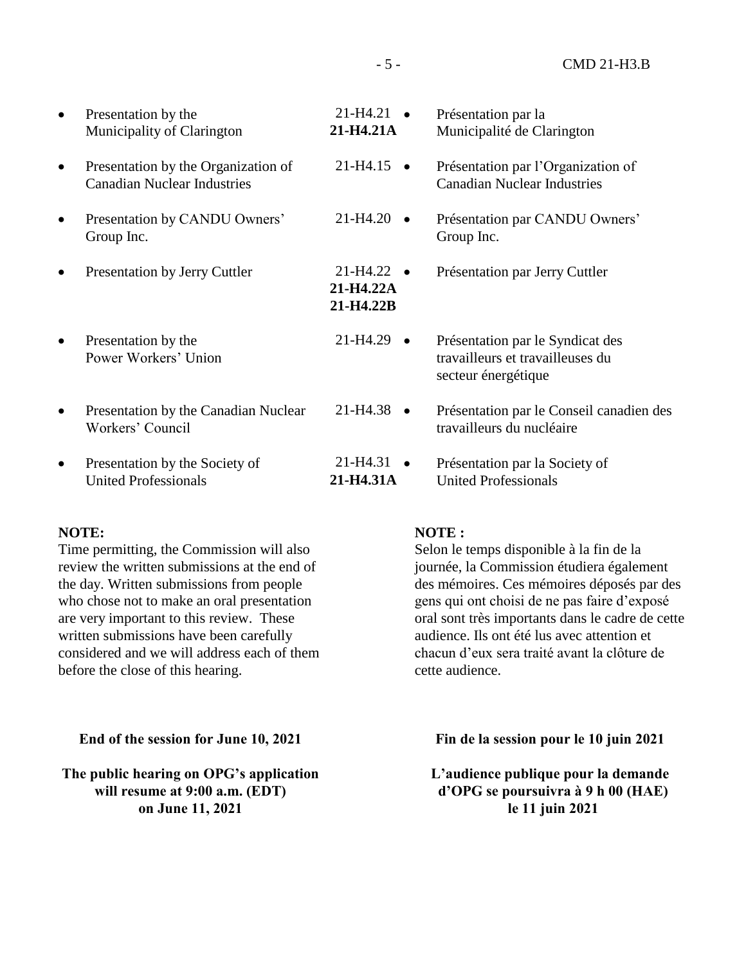Présentation par la Municipalité de Clarington Présentation par l'Organization of Canadian Nuclear Industries Présentation par CANDU Owners' Group Inc. Présentation par Jerry Cuttler Présentation par le Syndicat des travailleurs et travailleuses du secteur énergétique Présentation par le Conseil canadien des travailleurs du nucléaire Présentation par la Society of United Professionals • Presentation by the Municipality of Clarington • Presentation by the Organization of Canadian Nuclear Industries • Presentation by CANDU Owners' Group Inc. • Presentation by Jerry Cuttler Presentation by the Power Workers' Union • Presentation by the Canadian Nuclear Workers' Council • Presentation by the Society of United Professionals  $21-H4.21$   $\bullet$ **21-H4.21A**  $21-H4.15$   $\bullet$  $21-H4.20$   $\bullet$  $21-H4.22$   $\bullet$ **21-H4.22A 21-H4.22B**  $21-H4.29$   $\bullet$ 21-H4.38 21-H4.31 **21-H4.31A**

#### **NOTE:**

Time permitting, the Commission will also review the written submissions at the end of the day. Written submissions from people who chose not to make an oral presentation are very important to this review. These written submissions have been carefully considered and we will address each of them before the close of this hearing.

**End of the session for June 10, 2021**

**The public hearing on OPG's application will resume at 9:00 a.m. (EDT) on June 11, 2021**

## **NOTE :**

Selon le temps disponible à la fin de la journée, la Commission étudiera également des mémoires. Ces mémoires déposés par des gens qui ont choisi de ne pas faire d'exposé oral sont très importants dans le cadre de cette audience. Ils ont été lus avec attention et chacun d'eux sera traité avant la clôture de cette audience.

**Fin de la session pour le 10 juin 2021**

**L'audience publique pour la demande d'OPG se poursuivra à 9 h 00 (HAE) le 11 juin 2021**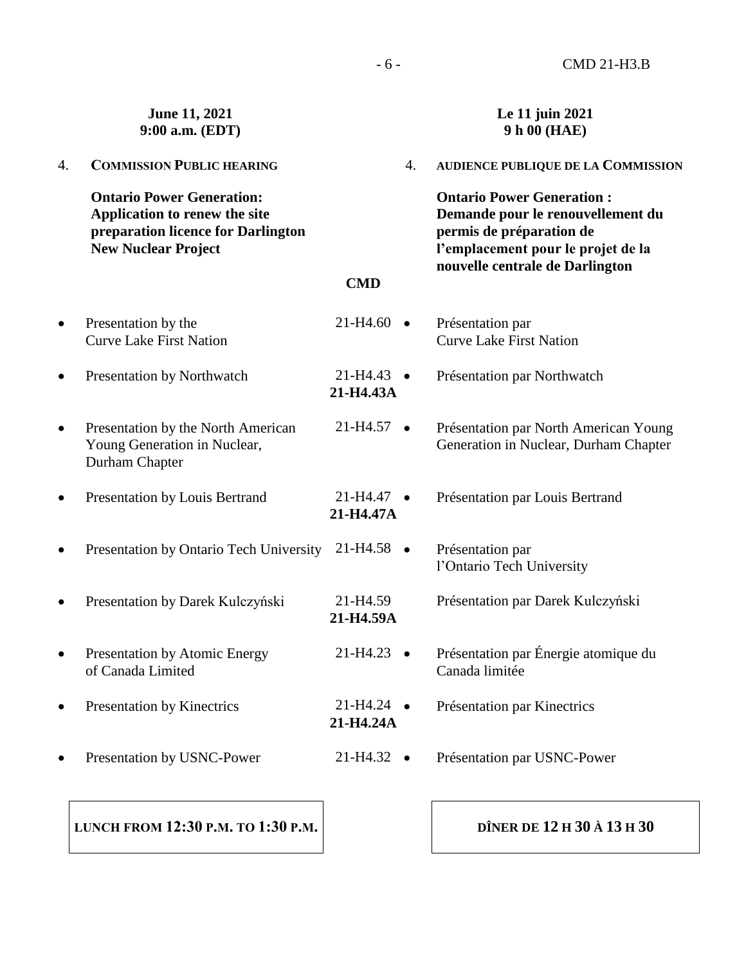|           | June 11, 2021<br>9:00 a.m. (EDT)                                                                                                      |                                   |           | Le 11 juin 2021<br>9 h 00 (HAE)                                                                                                                                            |
|-----------|---------------------------------------------------------------------------------------------------------------------------------------|-----------------------------------|-----------|----------------------------------------------------------------------------------------------------------------------------------------------------------------------------|
| 4.        | <b>COMMISSION PUBLIC HEARING</b>                                                                                                      |                                   | 4.        | <b>AUDIENCE PUBLIQUE DE LA COMMISSION</b>                                                                                                                                  |
|           | <b>Ontario Power Generation:</b><br>Application to renew the site<br>preparation licence for Darlington<br><b>New Nuclear Project</b> |                                   |           | <b>Ontario Power Generation:</b><br>Demande pour le renouvellement du<br>permis de préparation de<br>l'emplacement pour le projet de la<br>nouvelle centrale de Darlington |
|           |                                                                                                                                       | <b>CMD</b>                        |           |                                                                                                                                                                            |
| $\bullet$ | Presentation by the<br><b>Curve Lake First Nation</b>                                                                                 | 21-H4.60                          |           | Présentation par<br><b>Curve Lake First Nation</b>                                                                                                                         |
| $\bullet$ | Presentation by Northwatch                                                                                                            | 21-H4.43<br>21-H4.43A             |           | Présentation par Northwatch                                                                                                                                                |
| $\bullet$ | Presentation by the North American<br>Young Generation in Nuclear,<br>Durham Chapter                                                  | $21-H4.57$ $\bullet$              |           | Présentation par North American Young<br>Generation in Nuclear, Durham Chapter                                                                                             |
| $\bullet$ | Presentation by Louis Bertrand                                                                                                        | 21-H4.47<br>21-H4.47A             |           | Présentation par Louis Bertrand                                                                                                                                            |
| $\bullet$ | Presentation by Ontario Tech University                                                                                               | 21-H4.58                          | $\bullet$ | Présentation par<br>l'Ontario Tech University                                                                                                                              |
| $\bullet$ | Presentation by Darek Kulczyński                                                                                                      | 21-H4.59<br>21-H4.59A             |           | Présentation par Darek Kulczyński                                                                                                                                          |
| $\bullet$ | <b>Presentation by Atomic Energy</b><br>of Canada Limited                                                                             | $21-H4.23$ $\bullet$              |           | Présentation par Énergie atomique du<br>Canada limitée                                                                                                                     |
| $\bullet$ | Presentation by Kinectrics                                                                                                            | $21-H4.24$ $\bullet$<br>21-H4.24A |           | Présentation par Kinectrics                                                                                                                                                |
|           | Presentation by USNC-Power                                                                                                            | $21-H4.32$ $\bullet$              |           | Présentation par USNC-Power                                                                                                                                                |
|           |                                                                                                                                       |                                   |           |                                                                                                                                                                            |

**LUNCH FROM 12:30 P.M. TO 1:30 P.M.**

**DÎNER DE 12 H 30 À 13 H 30**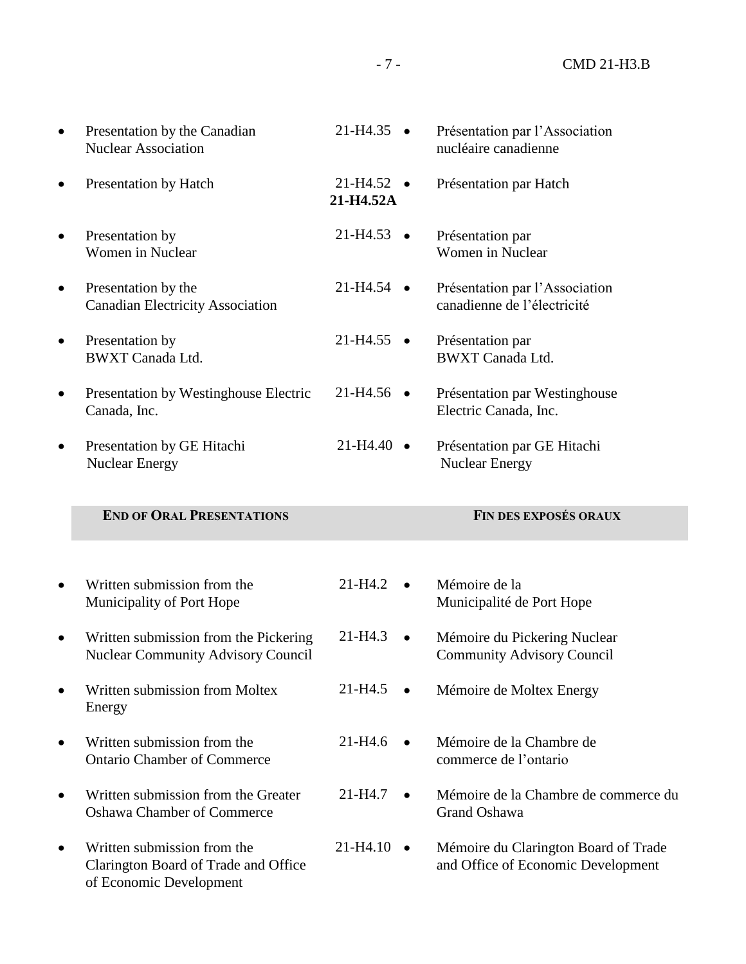| Presentation by the Canadian<br><b>Nuclear Association</b>                  | 21-H4.35                          | Présentation par l'Association<br>nucléaire canadienne            |
|-----------------------------------------------------------------------------|-----------------------------------|-------------------------------------------------------------------|
| Presentation by Hatch                                                       | $21-H4.52$ $\bullet$<br>21-H4.52A | Présentation par Hatch                                            |
| Presentation by<br>Women in Nuclear                                         | $21-H4.53$ $\bullet$              | Présentation par<br>Women in Nuclear                              |
| Presentation by the<br><b>Canadian Electricity Association</b>              | $21-H4.54$ $\bullet$              | Présentation par l'Association<br>canadienne de l'électricité     |
| Presentation by<br><b>BWXT</b> Canada Ltd.                                  | $21-H4.55$ $\bullet$              | Présentation par<br><b>BWXT</b> Canada Ltd.                       |
| Presentation by Westinghouse Electric<br>Canada, Inc.                       | $21 - H4.56$ •                    | Présentation par Westinghouse<br>Electric Canada, Inc.            |
| Presentation by GE Hitachi<br><b>Nuclear Energy</b>                         | $21-H4.40$ $\bullet$              | Présentation par GE Hitachi<br><b>Nuclear Energy</b>              |
| <b>END OF ORAL PRESENTATIONS</b>                                            |                                   | <b>FIN DES EXPOSÉS ORAUX</b>                                      |
|                                                                             |                                   |                                                                   |
|                                                                             |                                   |                                                                   |
| Written submission from the<br>Municipality of Port Hope                    | $21 - H4.2$                       | Mémoire de la<br>Municipalité de Port Hope                        |
| Written submission from the Pickering<br>Nuclear Community Advisory Council | $21 - H4.3$<br>$\bullet$          | Mémoire du Pickering Nuclear<br><b>Community Advisory Council</b> |
| Written submission from Moltex<br>Energy                                    | $21 - H4.5$                       | Mémoire de Moltex Energy                                          |
| Written submission from the<br><b>Ontario Chamber of Commerce</b>           | $21 - H4.6$                       | Mémoire de la Chambre de<br>commerce de l'ontario                 |
| Written submission from the Greater<br><b>Oshawa Chamber of Commerce</b>    | 21-H4.7                           | Mémoire de la Chambre de commerce du<br>Grand Oshawa              |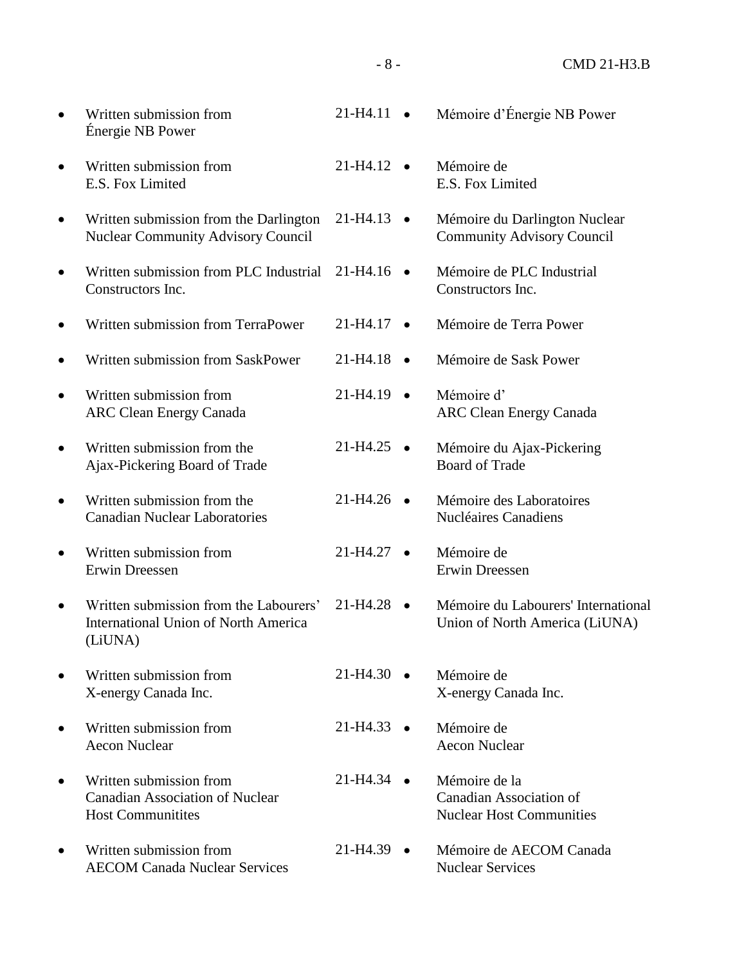| Written submission from<br>Énergie NB Power                                                      | 21-H4.11               |           | Mémoire d'Énergie NB Power                                                  |
|--------------------------------------------------------------------------------------------------|------------------------|-----------|-----------------------------------------------------------------------------|
| Written submission from<br>E.S. Fox Limited                                                      | $21-H4.12$ $\bullet$   |           | Mémoire de<br>E.S. Fox Limited                                              |
| Written submission from the Darlington<br><b>Nuclear Community Advisory Council</b>              | 21-H4.13               | $\bullet$ | Mémoire du Darlington Nuclear<br><b>Community Advisory Council</b>          |
| Written submission from PLC Industrial<br>Constructors Inc.                                      | $21-H4.16$ $\bullet$   |           | Mémoire de PLC Industrial<br>Constructors Inc.                              |
| Written submission from TerraPower                                                               | 21-H4.17               | $\bullet$ | Mémoire de Terra Power                                                      |
| Written submission from SaskPower                                                                | $21-H4.18$ $\bullet$   |           | Mémoire de Sask Power                                                       |
| Written submission from<br><b>ARC Clean Energy Canada</b>                                        | 21-H4.19               | $\bullet$ | Mémoire d'<br><b>ARC Clean Energy Canada</b>                                |
| Written submission from the<br>Ajax-Pickering Board of Trade                                     | 21-H4.25               |           | Mémoire du Ajax-Pickering<br><b>Board of Trade</b>                          |
| Written submission from the<br><b>Canadian Nuclear Laboratories</b>                              | $21-H4.26$ $\bullet$   |           | Mémoire des Laboratoires<br><b>Nucléaires Canadiens</b>                     |
| Written submission from<br>Erwin Dreessen                                                        | $21 - H4.27$ $\bullet$ |           | Mémoire de<br>Erwin Dreessen                                                |
| Written submission from the Labourers'<br><b>International Union of North America</b><br>(LiUNA) | $21-H4.28$ $\bullet$   |           | Mémoire du Labourers' International<br>Union of North America (LiUNA)       |
| Written submission from<br>X-energy Canada Inc.                                                  | 21-H4.30               |           | Mémoire de<br>X-energy Canada Inc.                                          |
| Written submission from<br><b>Aecon Nuclear</b>                                                  | $21-H4.33$ $\bullet$   |           | Mémoire de<br><b>Aecon Nuclear</b>                                          |
| Written submission from<br><b>Canadian Association of Nuclear</b><br><b>Host Communitites</b>    | 21-H4.34               |           | Mémoire de la<br>Canadian Association of<br><b>Nuclear Host Communities</b> |
| Written submission from<br><b>AECOM Canada Nuclear Services</b>                                  | $21-H4.39$ $\bullet$   |           | Mémoire de AECOM Canada<br><b>Nuclear Services</b>                          |